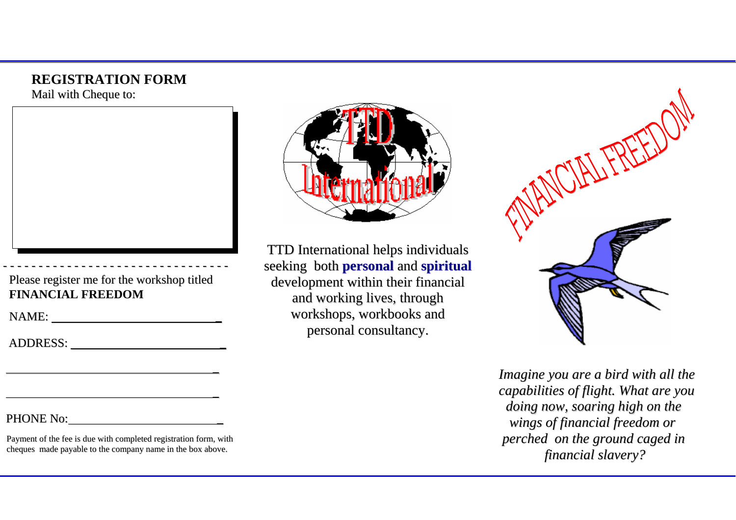#### **REGISTRATION FORM**

Mail with Cheque to:



Please register me for the workshop titled **FINANCIAL FREEDOM**

- - - - - - - - - - - - - - - - - - - - - - - - - - - - - - -

NAME: \_

-

ADDRESS: \_

#### PHONE No: \_

Payment of the fee is due with completed registration form, with cheques made payable to the company name in the box above.



TTD International helps individuals seeking both **personal** and **spiritual** development within their financial and working lives, through workshops, workbooks and personal consultancy.



*Imagine you are <sup>a</sup> bird with all the capabilities of flight. What are you doing now, soaring high on the wings of financial freedom or perched on the ground caged in financial slavery?*